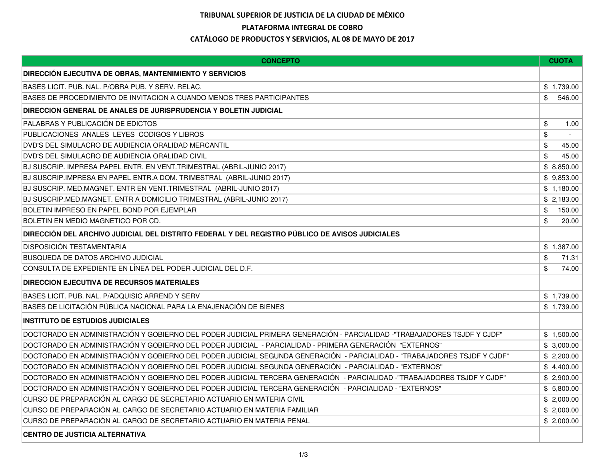## TRIBUNAL SUPERIOR DE JUSTICIA DE LA CIUDAD DE MÉXICOPLATAFORMA INTEGRAL DE COBRO

## CATÁLOGO DE PRODUCTOS Y SERVICIOS, AL 08 DE MAYO DE 2017

| <b>CONCEPTO</b>                                                                                                          | <b>CUOTA</b> |
|--------------------------------------------------------------------------------------------------------------------------|--------------|
| <b>DIRECCIÓN EJECUTIVA DE OBRAS, MANTENIMIENTO Y SERVICIOS</b>                                                           |              |
| BASES LICIT. PUB. NAL. P/OBRA PUB. Y SERV. RELAC.                                                                        | \$1,739.00   |
| BASES DE PROCEDIMIENTO DE INVITACION A CUANDO MENOS TRES PARTICIPANTES                                                   | \$<br>546.00 |
| DIRECCION GENERAL DE ANALES DE JURISPRUDENCIA Y BOLETIN JUDICIAL                                                         |              |
| PALABRAS Y PUBLICACIÓN DE EDICTOS                                                                                        | \$<br>1.00   |
| PUBLICACIONES ANALES LEYES CODIGOS Y LIBROS                                                                              | \$           |
| DVD'S DEL SIMULACRO DE AUDIENCIA ORALIDAD MERCANTIL                                                                      | \$<br>45.00  |
| DVD'S DEL SIMULACRO DE AUDIENCIA ORALIDAD CIVIL                                                                          | \$<br>45.00  |
| BJ SUSCRIP. IMPRESA PAPEL ENTR. EN VENT.TRIMESTRAL (ABRIL-JUNIO 2017)                                                    | \$8,850.00   |
| BJ SUSCRIP.IMPRESA EN PAPEL ENTR.A DOM. TRIMESTRAL (ABRIL-JUNIO 2017)                                                    | \$9,853.00   |
| BJ SUSCRIP. MED.MAGNET. ENTR EN VENT.TRIMESTRAL (ABRIL-JUNIO 2017)                                                       | \$1,180.00   |
| BJ SUSCRIP.MED.MAGNET. ENTR A DOMICILIO TRIMESTRAL (ABRIL-JUNIO 2017)                                                    | \$2,183.00   |
| BOLETIN IMPRESO EN PAPEL BOND POR EJEMPLAR                                                                               | 150.00<br>\$ |
| BOLETIN EN MEDIO MAGNETICO POR CD.                                                                                       | 20.00<br>\$  |
| DIRECCIÓN DEL ARCHIVO JUDICIAL DEL DISTRITO FEDERAL Y DEL REGISTRO PÚBLICO DE AVISOS JUDICIALES                          |              |
| <b>DISPOSICIÓN TESTAMENTARIA</b>                                                                                         | \$1.387.00   |
| <b>BUSQUEDA DE DATOS ARCHIVO JUDICIAL</b>                                                                                | \$<br>71.31  |
| CONSULTA DE EXPEDIENTE EN LÍNEA DEL PODER JUDICIAL DEL D.F.                                                              | \$<br>74.00  |
| <b>DIRECCION EJECUTIVA DE RECURSOS MATERIALES</b>                                                                        |              |
| BASES LICIT. PUB. NAL. P/ADQUISIC ARREND Y SERV                                                                          | \$1,739.00   |
| BASES DE LICITACIÓN PÚBLICA NACIONAL PARA LA ENAJENACIÓN DE BIENES                                                       | \$1,739.00   |
| <b>INSTITUTO DE ESTUDIOS JUDICIALES</b>                                                                                  |              |
| DOCTORADO EN ADMINISTRACIÓN Y GOBIERNO DEL PODER JUDICIAL PRIMERA GENERACIÓN - PARCIALIDAD -"TRABAJADORES TSJDF Y CJDF"  | \$1,500.00   |
| DOCTORADO EN ADMINISTRACIÓN Y GOBIERNO DEL PODER JUDICIAL - PARCIALIDAD - PRIMERA GENERACIÓN "EXTERNOS"                  | \$3,000.00   |
| DOCTORADO EN ADMINISTRACIÓN Y GOBIERNO DEL PODER JUDICIAL SEGUNDA GENERACIÓN - PARCIALIDAD - "TRABAJADORES TSJDF Y CJDF" | \$2,200.00   |
| DOCTORADO EN ADMINISTRACIÓN Y GOBIERNO DEL PODER JUDICIAL SEGUNDA GENERACIÓN - PARCIALIDAD - "EXTERNOS"                  | \$4,400.00   |
| DOCTORADO EN ADMINISTRACIÓN Y GOBIERNO DEL PODER JUDICIAL TERCERA GENERACIÓN - PARCIALIDAD -"TRABAJADORES TSJDF Y CJDF"  | \$2,900.00   |
| DOCTORADO EN ADMINISTRACIÓN Y GOBIERNO DEL PODER JUDICIAL TERCERA GENERACIÓN - PARCIALIDAD - "EXTERNOS"                  | \$5,800.00   |
| CURSO DE PREPARACIÓN AL CARGO DE SECRETARIO ACTUARIO EN MATERIA CIVIL                                                    | \$2,000.00   |
| CURSO DE PREPARACIÓN AL CARGO DE SECRETARIO ACTUARIO EN MATERIA FAMILIAR                                                 | \$2,000.00   |
| CURSO DE PREPARACIÓN AL CARGO DE SECRETARIO ACTUARIO EN MATERIA PENAL                                                    | \$2,000.00   |
| <b>CENTRO DE JUSTICIA ALTERNATIVA</b>                                                                                    |              |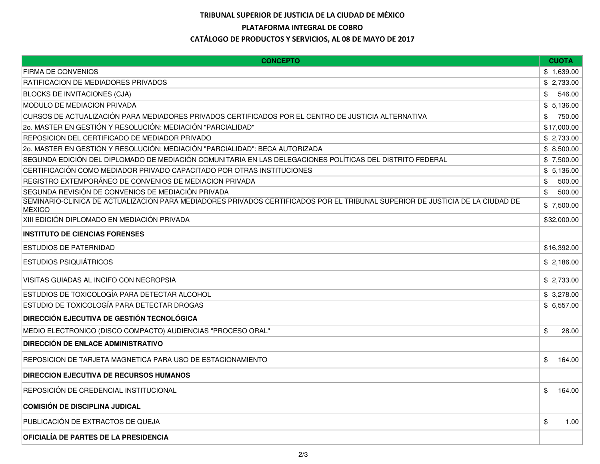## TRIBUNAL SUPERIOR DE JUSTICIA DE LA CIUDAD DE MÉXICOPLATAFORMA INTEGRAL DE COBROCATÁLOGO DE PRODUCTOS Y SERVICIOS, AL 08 DE MAYO DE 2017

| <b>CONCEPTO</b>                                                                                                                         | <b>CUOTA</b> |
|-----------------------------------------------------------------------------------------------------------------------------------------|--------------|
| <b>FIRMA DE CONVENIOS</b>                                                                                                               | \$1,639.00   |
| <b>RATIFICACION DE MEDIADORES PRIVADOS</b>                                                                                              | \$2,733.00   |
| <b>BLOCKS DE INVITACIONES (CJA)</b>                                                                                                     | 546.00<br>\$ |
| MODULO DE MEDIACION PRIVADA                                                                                                             | \$5,136.00   |
| CURSOS DE ACTUALIZACIÓN PARA MEDIADORES PRIVADOS CERTIFICADOS POR EL CENTRO DE JUSTICIA ALTERNATIVA                                     | \$<br>750.00 |
| 20. MASTER EN GESTIÓN Y RESOLUCIÓN: MEDIACIÓN "PARCIALIDAD"                                                                             | \$17,000.00  |
| REPOSICION DEL CERTIFICADO DE MEDIADOR PRIVADO                                                                                          | \$2,733.00   |
| 20. MASTER EN GESTIÓN Y RESOLUCIÓN: MEDIACIÓN "PARCIALIDAD": BECA AUTORIZADA                                                            | \$8,500.00   |
| SEGUNDA EDICIÓN DEL DIPLOMADO DE MEDIACIÓN COMUNITARIA EN LAS DELEGACIONES POLÍTICAS DEL DISTRITO FEDERAL                               | \$7,500.00   |
| CERTIFICACIÓN COMO MEDIADOR PRIVADO CAPACITADO POR OTRAS INSTITUCIONES                                                                  | \$5,136.00   |
| REGISTRO EXTEMPORÁNEO DE CONVENIOS DE MEDIACION PRIVADA                                                                                 | 500.00<br>\$ |
| SEGUNDA REVISIÓN DE CONVENIOS DE MEDIACIÓN PRIVADA                                                                                      | \$<br>500.00 |
| SEMINARIO-CLÍNICA DE ACTUALIZACIÓN PARA MEDIADORES PRIVADOS CERTIFICADOS POR EL TRIBUNAL SUPERIOR DE JUSTICIA DE LA CIUDAD DE<br>MÉXICO | \$7,500.00   |
| XIII EDICIÓN DIPLOMADO EN MEDIACIÓN PRIVADA                                                                                             | \$32,000.00  |
| <b>INSTITUTO DE CIENCIAS FORENSES</b>                                                                                                   |              |
| ESTUDIOS DE PATERNIDAD                                                                                                                  | \$16,392.00  |
| <b>ESTUDIOS PSIQUIÁTRICOS</b>                                                                                                           | \$2,186.00   |
| VISITAS GUIADAS AL INCIFO CON NECROPSIA                                                                                                 | \$2,733.00   |
| ESTUDIOS DE TOXICOLOGÍA PARA DETECTAR ALCOHOL                                                                                           | \$3,278.00   |
| ESTUDIO DE TOXICOLOGÍA PARA DETECTAR DROGAS                                                                                             | \$6,557.00   |
| <b>DIRECCIÓN EJECUTIVA DE GESTIÓN TECNOLÓGICA</b>                                                                                       |              |
| MEDIO ELECTRONICO (DISCO COMPACTO) AUDIENCIAS "PROCESO ORAL"                                                                            | \$<br>28.00  |
| <b>DIRECCIÓN DE ENLACE ADMINISTRATIVO</b>                                                                                               |              |
| REPOSICION DE TARJETA MAGNETICA PARA USO DE ESTACIONAMIENTO                                                                             | \$<br>164.00 |
| <b>DIRECCION EJECUTIVA DE RECURSOS HUMANOS</b>                                                                                          |              |
| REPOSICIÓN DE CREDENCIAL INSTITUCIONAL                                                                                                  | \$<br>164.00 |
| <b>COMISIÓN DE DISCIPLINA JUDICAL</b>                                                                                                   |              |
| PUBLICACIÓN DE EXTRACTOS DE QUEJA                                                                                                       | \$<br>1.00   |
| OFICIALIA DE PARTES DE LA PRESIDENCIA                                                                                                   |              |